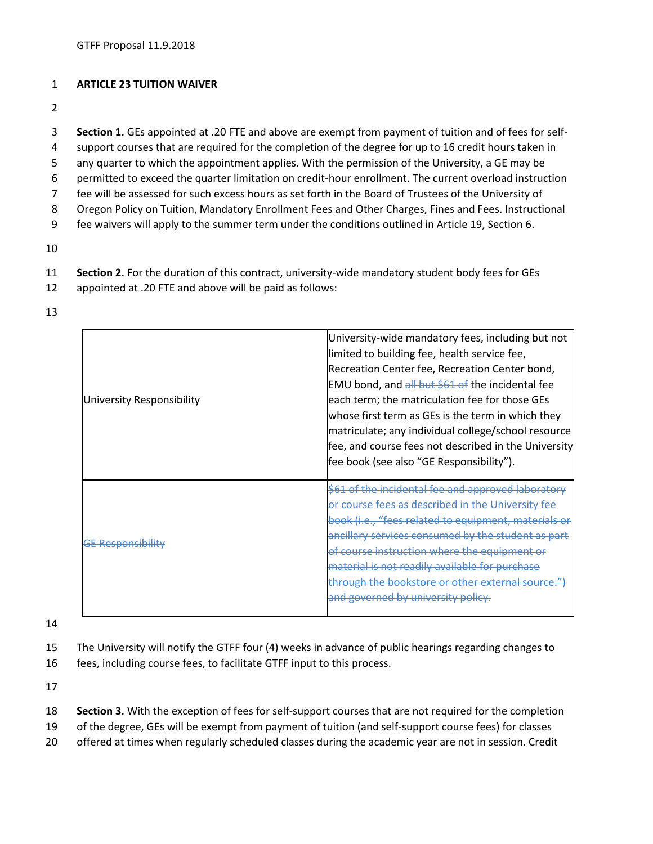## 1 **ARTICLE 23 TUITION WAIVER**

2

3 **Section 1.** GEs appointed at .20 FTE and above are exempt from payment of tuition and of fees for self-

- 4 support courses that are required for the completion of the degree for up to 16 credit hours taken in
- 5 any quarter to which the appointment applies. With the permission of the University, a GE may be
- 6 permitted to exceed the quarter limitation on credit-hour enrollment. The current overload instruction
- 7 fee will be assessed for such excess hours as set forth in the Board of Trustees of the University of
- 8 Oregon Policy on Tuition, Mandatory Enrollment Fees and Other Charges, Fines and Fees. Instructional
- 9 fee waivers will apply to the summer term under the conditions outlined in Article 19, Section 6.
- 10
- 11 **Section 2.** For the duration of this contract, university-wide mandatory student body fees for GEs
- 12 appointed at .20 FTE and above will be paid as follows:
- 13

| University Responsibility | University-wide mandatory fees, including but not<br>limited to building fee, health service fee,<br>Recreation Center fee, Recreation Center bond,<br>EMU bond, and all but \$61 of the incidental fee<br>each term; the matriculation fee for those GEs<br>whose first term as GEs is the term in which they<br>matriculate; any individual college/school resource<br>fee, and course fees not described in the University<br>fee book (see also "GE Responsibility"). |
|---------------------------|---------------------------------------------------------------------------------------------------------------------------------------------------------------------------------------------------------------------------------------------------------------------------------------------------------------------------------------------------------------------------------------------------------------------------------------------------------------------------|
| <b>GE Responsibility</b>  | \$61 of the incidental fee and approved laboratory<br>or course fees as described in the University fee<br>book (i.e., "fees related to equipment, materials or<br>ancillary services consumed by the student as part<br>of course instruction where the equipment or<br>material is not readily available for purchase<br>through the bookstore or other external source.")<br>and governed by university policy.                                                        |

14

- 15 The University will notify the GTFF four (4) weeks in advance of public hearings regarding changes to
- 16 fees, including course fees, to facilitate GTFF input to this process.

17

- 18 **Section 3.** With the exception of fees for self-support courses that are not required for the completion
- 19 of the degree, GEs will be exempt from payment of tuition (and self-support course fees) for classes
- 20 offered at times when regularly scheduled classes during the academic year are not in session. Credit